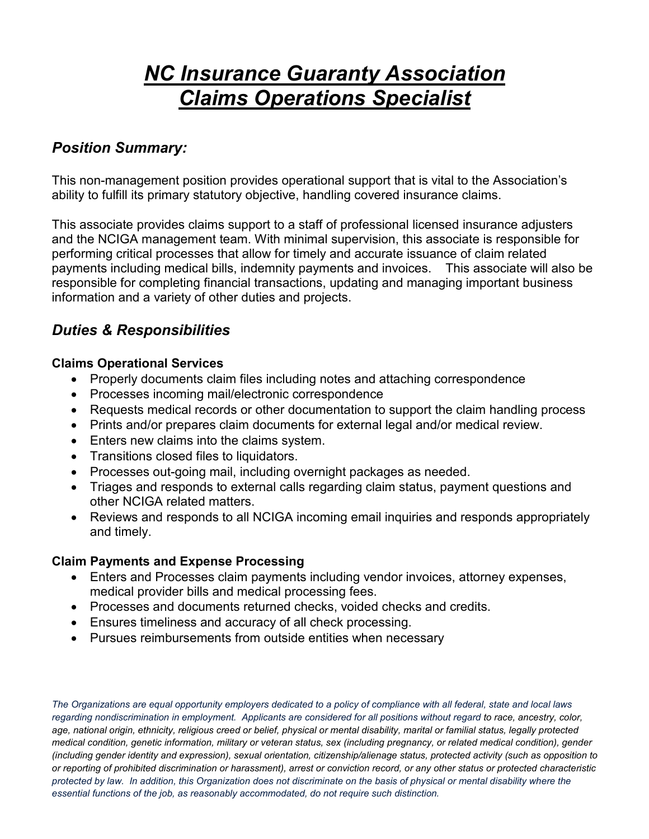# *NC Insurance Guaranty Association Claims Operations Specialist*

## *Position Summary:*

This non-management position provides operational support that is vital to the Association's ability to fulfill its primary statutory objective, handling covered insurance claims.

This associate provides claims support to a staff of professional licensed insurance adjusters and the NCIGA management team. With minimal supervision, this associate is responsible for performing critical processes that allow for timely and accurate issuance of claim related payments including medical bills, indemnity payments and invoices. This associate will also be responsible for completing financial transactions, updating and managing important business information and a variety of other duties and projects.

# *Duties & Responsibilities*

#### **Claims Operational Services**

- Properly documents claim files including notes and attaching correspondence
- Processes incoming mail/electronic correspondence
- Requests medical records or other documentation to support the claim handling process
- Prints and/or prepares claim documents for external legal and/or medical review.
- Enters new claims into the claims system.
- Transitions closed files to liquidators.
- Processes out-going mail, including overnight packages as needed.
- Triages and responds to external calls regarding claim status, payment questions and other NCIGA related matters.
- Reviews and responds to all NCIGA incoming email inquiries and responds appropriately and timely.

#### **Claim Payments and Expense Processing**

- Enters and Processes claim payments including vendor invoices, attorney expenses, medical provider bills and medical processing fees.
- Processes and documents returned checks, voided checks and credits.
- Ensures timeliness and accuracy of all check processing.
- Pursues reimbursements from outside entities when necessary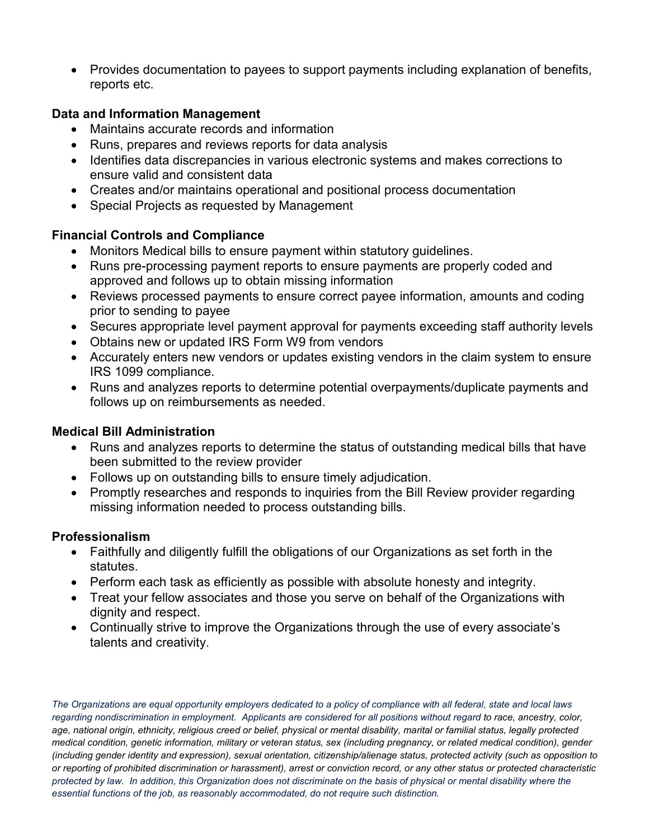• Provides documentation to payees to support payments including explanation of benefits, reports etc.

#### **Data and Information Management**

- Maintains accurate records and information
- Runs, prepares and reviews reports for data analysis
- Identifies data discrepancies in various electronic systems and makes corrections to ensure valid and consistent data
- Creates and/or maintains operational and positional process documentation
- Special Projects as requested by Management

#### **Financial Controls and Compliance**

- Monitors Medical bills to ensure payment within statutory guidelines.
- Runs pre-processing payment reports to ensure payments are properly coded and approved and follows up to obtain missing information
- Reviews processed payments to ensure correct payee information, amounts and coding prior to sending to payee
- Secures appropriate level payment approval for payments exceeding staff authority levels
- Obtains new or updated IRS Form W9 from vendors
- Accurately enters new vendors or updates existing vendors in the claim system to ensure IRS 1099 compliance.
- Runs and analyzes reports to determine potential overpayments/duplicate payments and follows up on reimbursements as needed.

#### **Medical Bill Administration**

- Runs and analyzes reports to determine the status of outstanding medical bills that have been submitted to the review provider
- Follows up on outstanding bills to ensure timely adjudication.
- Promptly researches and responds to inquiries from the Bill Review provider regarding missing information needed to process outstanding bills.

#### **Professionalism**

- Faithfully and diligently fulfill the obligations of our Organizations as set forth in the statutes.
- Perform each task as efficiently as possible with absolute honesty and integrity.
- Treat your fellow associates and those you serve on behalf of the Organizations with dignity and respect.
- Continually strive to improve the Organizations through the use of every associate's talents and creativity.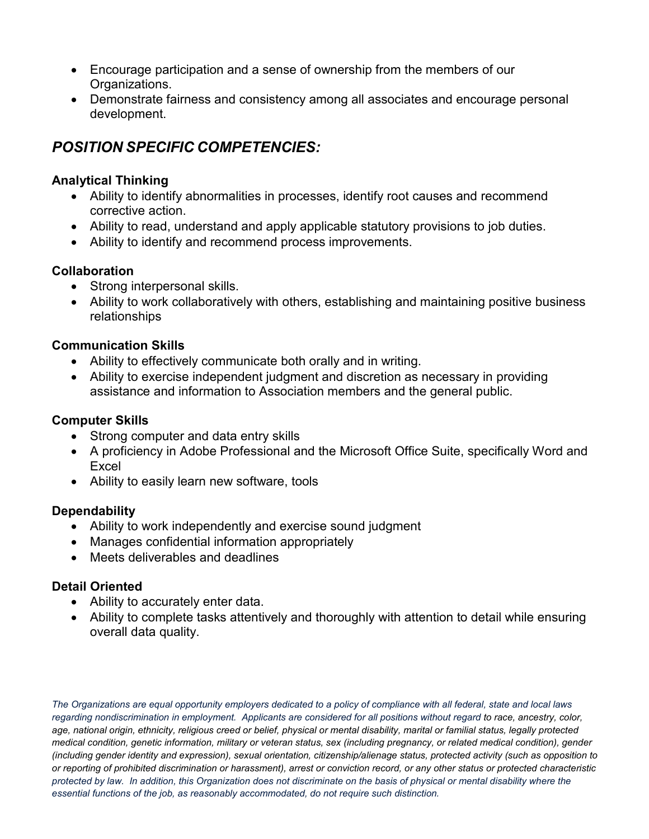- Encourage participation and a sense of ownership from the members of our Organizations.
- Demonstrate fairness and consistency among all associates and encourage personal development.

# *POSITION SPECIFIC COMPETENCIES:*

#### **Analytical Thinking**

- Ability to identify abnormalities in processes, identify root causes and recommend corrective action.
- Ability to read, understand and apply applicable statutory provisions to job duties.
- Ability to identify and recommend process improvements.

#### **Collaboration**

- Strong interpersonal skills.
- Ability to work collaboratively with others, establishing and maintaining positive business relationships

#### **Communication Skills**

- Ability to effectively communicate both orally and in writing.
- Ability to exercise independent judgment and discretion as necessary in providing assistance and information to Association members and the general public.

#### **Computer Skills**

- Strong computer and data entry skills
- A proficiency in Adobe Professional and the Microsoft Office Suite, specifically Word and Excel
- Ability to easily learn new software, tools

#### **Dependability**

- Ability to work independently and exercise sound judgment
- Manages confidential information appropriately
- Meets deliverables and deadlines

#### **Detail Oriented**

- Ability to accurately enter data.
- Ability to complete tasks attentively and thoroughly with attention to detail while ensuring overall data quality.